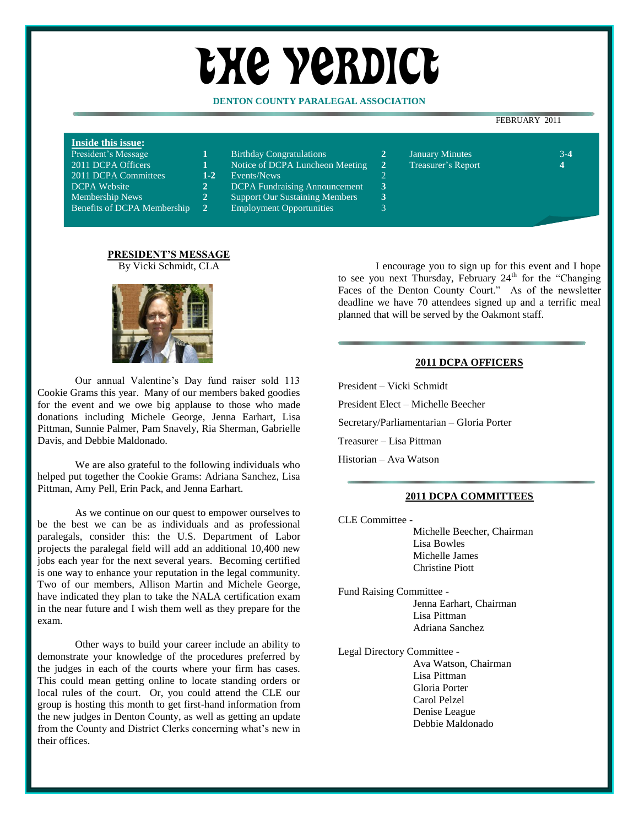# the yerdict

## **DENTON COUNTY PARALEGAL ASSOCIATION**

#### FEBRUARY 2011

## **Inside this issue:**

| President's Message                |
|------------------------------------|
| 2011 DCPA Officers                 |
| 2011 DCPA Committees               |
| <b>DCPA</b> Website                |
| Membership News                    |
| <b>Benefits of DCPA Membership</b> |

| <b>Birthday Congratulations</b> |
|---------------------------------|
|---------------------------------|

- Notice of DCPA Luncheon Meeting 2 Treasurer's Report
- 1-2 Events/News
- 2 DCPA Fundraising Announcement 3
- 2 Support Our Sustaining Members 3
	- **Employment Opportunities**
- **President's Message 1** Birthday Congratulations **1** Birthday Congratulations **2** January Minutes 3-4
- 

**PRESIDENT'S MESSAGE** By Vicki Schmidt, CLA



Our annual Valentine's Day fund raiser sold 113 Cookie Grams this year. Many of our members baked goodies for the event and we owe big applause to those who made donations including Michele George, Jenna Earhart, Lisa Pittman, Sunnie Palmer, Pam Snavely, Ria Sherman, Gabrielle Davis, and Debbie Maldonado.

We are also grateful to the following individuals who helped put together the Cookie Grams: Adriana Sanchez, Lisa Pittman, Amy Pell, Erin Pack, and Jenna Earhart.

As we continue on our quest to empower ourselves to be the best we can be as individuals and as professional paralegals, consider this: the U.S. Department of Labor projects the paralegal field will add an additional 10,400 new jobs each year for the next several years. Becoming certified is one way to enhance your reputation in the legal community. Two of our members, Allison Martin and Michele George, have indicated they plan to take the NALA certification exam in the near future and I wish them well as they prepare for the exam.

Other ways to build your career include an ability to demonstrate your knowledge of the procedures preferred by the judges in each of the courts where your firm has cases. This could mean getting online to locate standing orders or local rules of the court. Or, you could attend the CLE our group is hosting this month to get first-hand information from the new judges in Denton County, as well as getting an update from the County and District Clerks concerning what's new in their offices.

I encourage you to sign up for this event and I hope to see you next Thursday, February  $24<sup>th</sup>$  for the "Changing" Faces of the Denton County Court." As of the newsletter deadline we have 70 attendees signed up and a terrific meal planned that will be served by the Oakmont staff.

#### **2011 DCPA OFFICERS**

President – Vicki Schmidt

President Elect – Michelle Beecher

Secretary/Parliamentarian – Gloria Porter

Treasurer – Lisa Pittman

Historian – Ava Watson

#### **2011 DCPA COMMITTEES**

CLE Committee -

Michelle Beecher, Chairman Lisa Bowles Michelle James Christine Piott

- Fund Raising Committee Jenna Earhart, Chairman Lisa Pittman Adriana Sanchez
- Legal Directory Committee Ava Watson, Chairman Lisa Pittman Gloria Porter Carol Pelzel Denise League Debbie Maldonado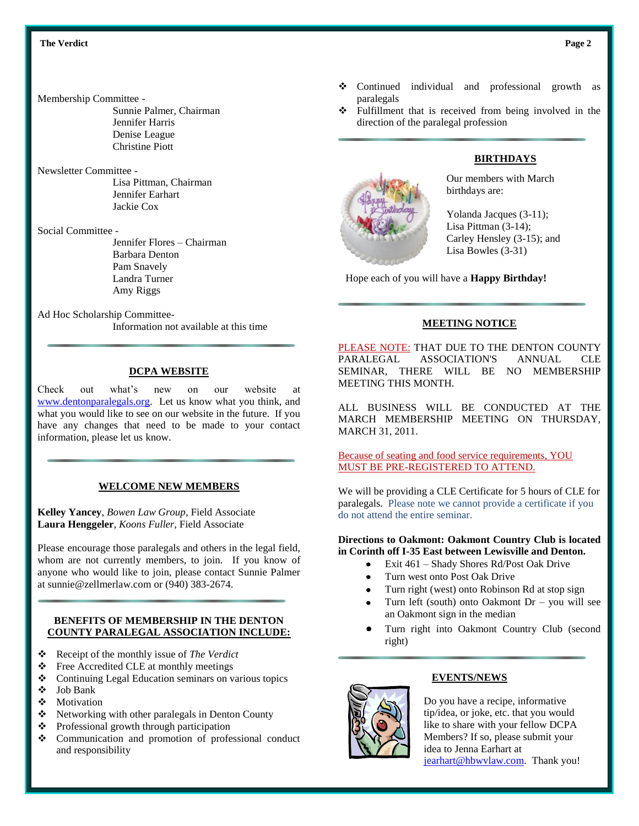#### Membership Committee -

Sunnie Palmer, Chairman Jennifer Harris Denise League Christine Piott

## Newsletter Committee -

Lisa Pittman, Chairman Jennifer Earhart Jackie Cox

#### Social Committee -

Jennifer Flores – Chairman Barbara Denton Pam Snavely Landra Turner Amy Riggs

# Ad Hoc Scholarship Committee-

Information not available at this time

## **DCPA WEBSITE**

Check out what's new on our website at [www.dentonparalegals.org.](http://www.dentonparalegals.org/) Let us know what you think, and what you would like to see on our website in the future. If you have any changes that need to be made to your contact information, please let us know.

## **WELCOME NEW MEMBERS**

**Kelley Yancey**, *Bowen Law Group*, Field Associate **Laura Henggeler**, *Koons Fuller*, Field Associate

Please encourage those paralegals and others in the legal field, whom are not currently members, to join. If you know of anyone who would like to join, please contact Sunnie Palmer at sunnie@zellmerlaw.com or (940) 383-2674.

## **BENEFITS OF MEMBERSHIP IN THE DENTON COUNTY PARALEGAL ASSOCIATION INCLUDE:**

- Receipt of the monthly issue of *The Verdict*
- Free Accredited CLE at monthly meetings
- Continuing Legal Education seminars on various topics
- Job Bank
- Motivation
- $\triangle$  Networking with other paralegals in Denton County
- Professional growth through participation
- Communication and promotion of professional conduct and responsibility
- Continued individual and professional growth as paralegals
- $\div$  Fulfillment that is received from being involved in the direction of the paralegal profession

# **BIRTHDAYS**

Our members with March birthdays are:

Yolanda Jacques (3-11); Lisa Pittman (3-14); Carley Hensley (3-15); and Lisa Bowles (3-31)

Hope each of you will have a **Happy Birthday!**

## **MEETING NOTICE**

PLEASE NOTE: THAT DUE TO THE DENTON COUNTY PARALEGAL ASSOCIATION'S ANNUAL CLE SEMINAR, THERE WILL BE NO MEMBERSHIP MEETING THIS MONTH.

ALL BUSINESS WILL BE CONDUCTED AT THE MARCH MEMBERSHIP MEETING ON THURSDAY, MARCH 31, 2011.

Because of seating and food service requirements, YOU MUST BE PRE-REGISTERED TO ATTEND.

We will be providing a CLE Certificate for 5 hours of CLE for paralegals. Please note we cannot provide a certificate if you do not attend the entire seminar.

#### **Directions to Oakmont: Oakmont Country Club is located in Corinth off I-35 East between Lewisville and Denton.**

- Exit 461 Shady Shores Rd/Post Oak Drive
- Turn west onto Post Oak Drive
- Turn right (west) onto Robinson Rd at stop sign
- Turn left (south) onto Oakmont Dr you will see an Oakmont sign in the median
- Turn right into Oakmont Country Club (second right)



## **EVENTS/NEWS**

Do you have a recipe, informative tip/idea, or joke, etc. that you would like to share with your fellow DCPA Members? If so, please submit your idea to Jenna Earhart at jearhart@hbwylaw.com. Thank you!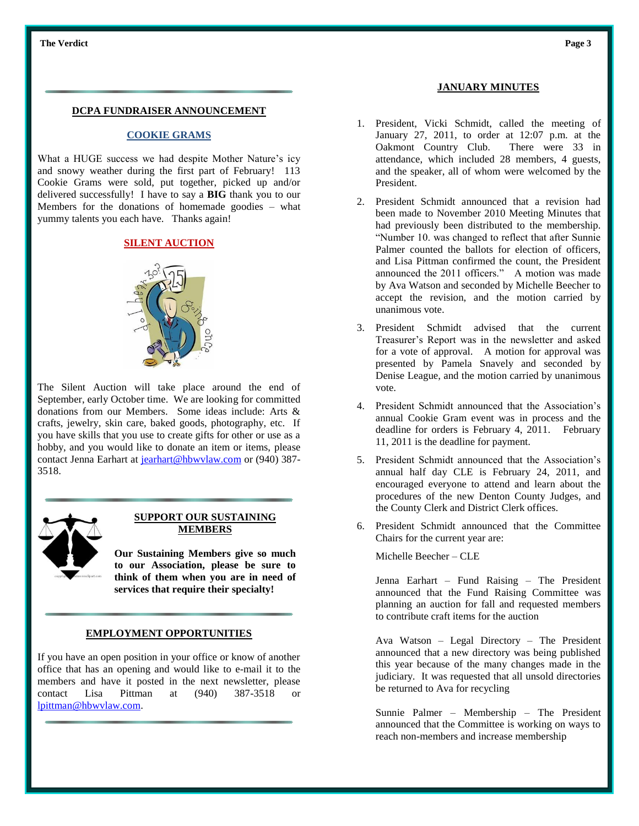#### **DCPA FUNDRAISER ANNOUNCEMENT**

#### **COOKIE GRAMS**

What a HUGE success we had despite Mother Nature's icy and snowy weather during the first part of February! 113 Cookie Grams were sold, put together, picked up and/or delivered successfully! I have to say a **BIG** thank you to our Members for the donations of homemade goodies – what yummy talents you each have. Thanks again!

## **SILENT AUCTION**



The Silent Auction will take place around the end of September, early October time. We are looking for committed donations from our Members. Some ideas include: Arts & crafts, jewelry, skin care, baked goods, photography, etc. If you have skills that you use to create gifts for other or use as a hobby, and you would like to donate an item or items, please contact Jenna Earhart at jearhart@hbwylaw.com or (940) 387-3518.



#### **SUPPORT OUR SUSTAINING MEMBERS**

**Our Sustaining Members give so much to our Association, please be sure to think of them when you are in need of services that require their specialty!**

#### **EMPLOYMENT OPPORTUNITIES**

If you have an open position in your office or know of another office that has an opening and would like to e-mail it to the members and have it posted in the next newsletter, please contact Lisa Pittman at (940) 387-3518 or [lpittman@hbwvlaw.com.](mailto:lpittman@hbwvlaw.com)

#### **JANUARY MINUTES**

- 1. President, Vicki Schmidt, called the meeting of January 27, 2011, to order at 12:07 p.m. at the Oakmont Country Club. There were 33 in attendance, which included 28 members, 4 guests, and the speaker, all of whom were welcomed by the President.
- 2. President Schmidt announced that a revision had been made to November 2010 Meeting Minutes that had previously been distributed to the membership. "Number 10. was changed to reflect that after Sunnie Palmer counted the ballots for election of officers, and Lisa Pittman confirmed the count, the President announced the 2011 officers." A motion was made by Ava Watson and seconded by Michelle Beecher to accept the revision, and the motion carried by unanimous vote.
- 3. President Schmidt advised that the current Treasurer's Report was in the newsletter and asked for a vote of approval. A motion for approval was presented by Pamela Snavely and seconded by Denise League, and the motion carried by unanimous vote.
- 4. President Schmidt announced that the Association's annual Cookie Gram event was in process and the deadline for orders is February 4, 2011. February 11, 2011 is the deadline for payment.
- 5. President Schmidt announced that the Association's annual half day CLE is February 24, 2011, and encouraged everyone to attend and learn about the procedures of the new Denton County Judges, and the County Clerk and District Clerk offices.
- 6. President Schmidt announced that the Committee Chairs for the current year are:

Michelle Beecher – CLE

Jenna Earhart – Fund Raising – The President announced that the Fund Raising Committee was planning an auction for fall and requested members to contribute craft items for the auction

Ava Watson – Legal Directory – The President announced that a new directory was being published this year because of the many changes made in the judiciary. It was requested that all unsold directories be returned to Ava for recycling

Sunnie Palmer – Membership – The President announced that the Committee is working on ways to reach non-members and increase membership